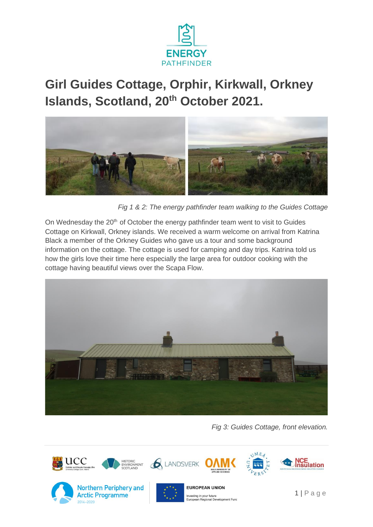

## **Girl Guides Cottage, Orphir, Kirkwall, Orkney Islands, Scotland, 20th October 2021.**



*Fig 1 & 2: The energy pathfinder team walking to the Guides Cottage*

On Wednesday the 20<sup>th</sup> of October the energy pathfinder team went to visit to Guides Cottage on Kirkwall, Orkney islands. We received a warm welcome on arrival from Katrina Black a member of the Orkney Guides who gave us a tour and some background information on the cottage. The cottage is used for camping and day trips. Katrina told us how the girls love their time here especially the large area for outdoor cooking with the cottage having beautiful views over the Scapa Flow.



*Fig 3: Guides Cottage, front elevation.* 

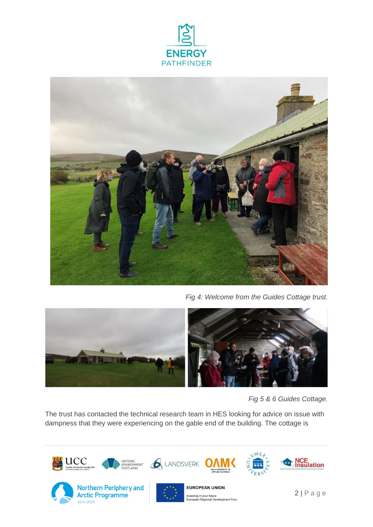



*Fig 4: Welcome from the Guides Cottage trust.* 



*Fig 5 & 6 Guides Cottage.* 

The trust has contacted the technical research team in HES looking for advice on issue with dampness that they were experiencing on the gable end of the building. The cottage is



2014-2020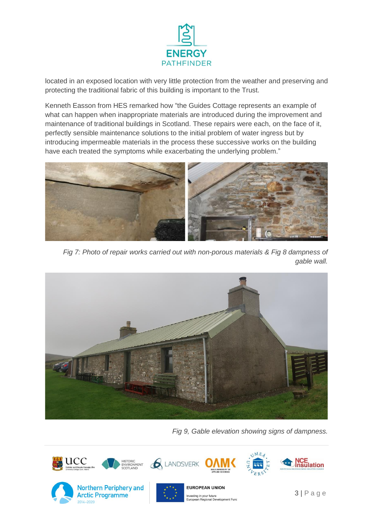

located in an exposed location with very little protection from the weather and preserving and protecting the traditional fabric of this building is important to the Trust.

Kenneth Easson from HES remarked how "the Guides Cottage represents an example of what can happen when inappropriate materials are introduced during the improvement and maintenance of traditional buildings in Scotland. These repairs were each, on the face of it, perfectly sensible maintenance solutions to the initial problem of water ingress but by introducing impermeable materials in the process these successive works on the building have each treated the symptoms while exacerbating the underlying problem."



*Fig 7: Photo of repair works carried out with non-porous materials & Fig 8 dampness of gable wall.*



*Fig 9, Gable elevation showing signs of dampness.*